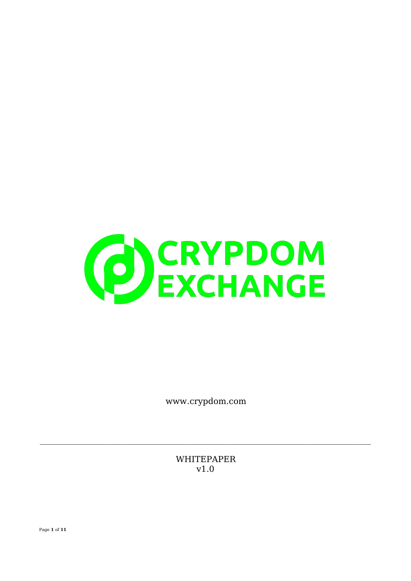

www.crypdom.com

**WHITEPAPER**  $v1.0$ 

Page 1 of 11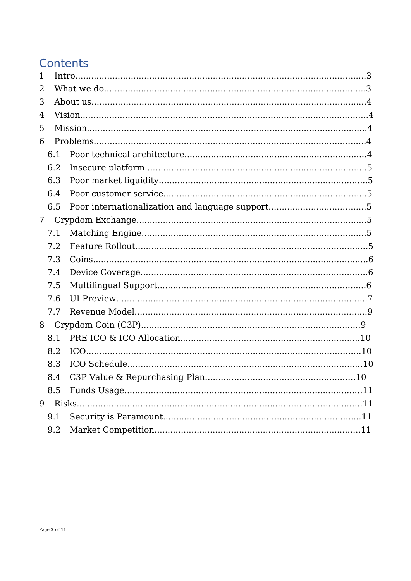# Contents

| $\mathbf{1}$ |     |  |                                      |  |  |  |
|--------------|-----|--|--------------------------------------|--|--|--|
| 2            |     |  |                                      |  |  |  |
| 3            |     |  |                                      |  |  |  |
| 4            |     |  |                                      |  |  |  |
| 5            |     |  |                                      |  |  |  |
| 6            |     |  |                                      |  |  |  |
|              | 6.1 |  |                                      |  |  |  |
|              | 6.2 |  |                                      |  |  |  |
|              | 6.3 |  |                                      |  |  |  |
|              | 6.4 |  |                                      |  |  |  |
|              | 6.5 |  |                                      |  |  |  |
| 7            |     |  |                                      |  |  |  |
|              | 7.1 |  |                                      |  |  |  |
|              | 7.2 |  |                                      |  |  |  |
|              |     |  |                                      |  |  |  |
|              | 7.3 |  |                                      |  |  |  |
|              | 7.4 |  |                                      |  |  |  |
|              | 7.5 |  |                                      |  |  |  |
|              | 7.6 |  |                                      |  |  |  |
|              | 7.7 |  |                                      |  |  |  |
| 8            |     |  |                                      |  |  |  |
|              | 8.1 |  |                                      |  |  |  |
|              | 8.2 |  |                                      |  |  |  |
|              | 8.3 |  |                                      |  |  |  |
|              | 8.4 |  | C3P Value & Repurchasing Plan<br>.10 |  |  |  |
|              | 8.5 |  |                                      |  |  |  |
| 9            |     |  |                                      |  |  |  |
|              | 9.1 |  |                                      |  |  |  |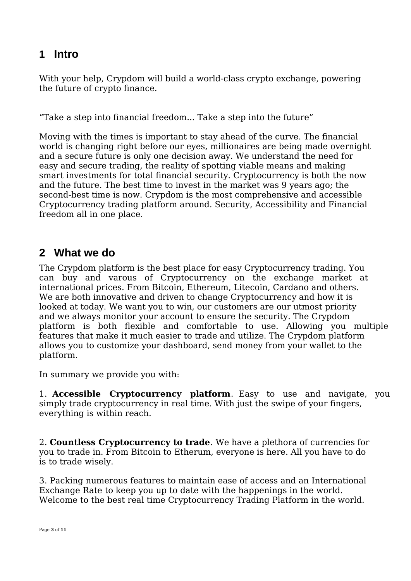# **1 Intro**

With your help, Crypdom will build a world-class crypto exchange, powering the future of crypto finance.

"Take a step into financial freedom... Take a step into the future"

Moving with the times is important to stay ahead of the curve. The financial world is changing right before our eyes, millionaires are being made overnight and a secure future is only one decision away. We understand the need for easy and secure trading, the reality of spotting viable means and making smart investments for total financial security. Cryptocurrency is both the now and the future. The best time to invest in the market was 9 years ago; the second-best time is now. Crypdom is the most comprehensive and accessible Cryptocurrency trading platform around. Security, Accessibility and Financial freedom all in one place.

### **2 What we do**

The Crypdom platform is the best place for easy Cryptocurrency trading. You can buy and varous of Cryptocurrency on the exchange market at international prices. From Bitcoin, Ethereum, Litecoin, Cardano and others. We are both innovative and driven to change Cryptocurrency and how it is looked at today. We want you to win, our customers are our utmost priority and we always monitor your account to ensure the security. The Crypdom platform is both flexible and comfortable to use. Allowing you multiple features that make it much easier to trade and utilize. The Crypdom platform allows you to customize your dashboard, send money from your wallet to the platform.

In summary we provide you with:

1. **Accessible Cryptocurrency platform**. Easy to use and navigate, you simply trade cryptocurrency in real time. With just the swipe of your fingers, everything is within reach.

2. **Countless Cryptocurrency to trade**. We have a plethora of currencies for you to trade in. From Bitcoin to Etherum, everyone is here. All you have to do is to trade wisely.

3. Packing numerous features to maintain ease of access and an International Exchange Rate to keep you up to date with the happenings in the world. Welcome to the best real time Cryptocurrency Trading Platform in the world.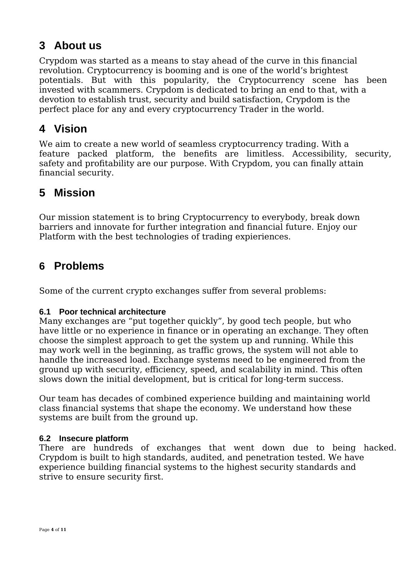# **3 About us**

Crypdom was started as a means to stay ahead of the curve in this financial revolution. Cryptocurrency is booming and is one of the world's brightest potentials. But with this popularity, the Cryptocurrency scene has been invested with scammers. Crypdom is dedicated to bring an end to that, with a devotion to establish trust, security and build satisfaction, Crypdom is the perfect place for any and every cryptocurrency Trader in the world.

### **4 Vision**

We aim to create a new world of seamless cryptocurrency trading. With a feature packed platform, the benefits are limitless. Accessibility, security, safety and profitability are our purpose. With Crypdom, you can finally attain financial security.

### **5 Mission**

Our mission statement is to bring Cryptocurrency to everybody, break down barriers and innovate for further integration and financial future. Enjoy our Platform with the best technologies of trading expieriences.

### **6 Problems**

Some of the current crypto exchanges suffer from several problems:

#### **6.1 Poor technical architecture**

Many exchanges are "put together quickly", by good tech people, but who have little or no experience in finance or in operating an exchange. They often choose the simplest approach to get the system up and running. While this may work well in the beginning, as traffic grows, the system will not able to handle the increased load. Exchange systems need to be engineered from the ground up with security, efficiency, speed, and scalability in mind. This often slows down the initial development, but is critical for long-term success.

Our team has decades of combined experience building and maintaining world class financial systems that shape the economy. We understand how these systems are built from the ground up.

#### **6.2 Insecure platform**

There are hundreds of exchanges that went down due to being hacked. Crypdom is built to high standards, audited, and penetration tested. We have experience building financial systems to the highest security standards and strive to ensure security first.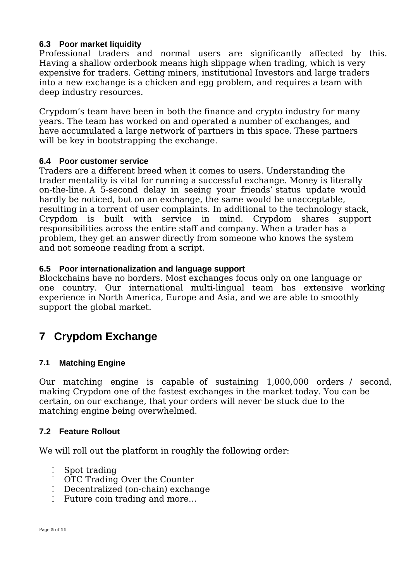#### **6.3 Poor market liquidity**

Professional traders and normal users are significantly affected by this. Having a shallow orderbook means high slippage when trading, which is very expensive for traders. Getting miners, institutional Investors and large traders into a new exchange is a chicken and egg problem, and requires a team with deep industry resources.

Crypdom's team have been in both the finance and crypto industry for many years. The team has worked on and operated a number of exchanges, and have accumulated a large network of partners in this space. These partners will be key in bootstrapping the exchange.

#### **6.4 Poor customer service**

Traders are a different breed when it comes to users. Understanding the trader mentality is vital for running a successful exchange. Money is literally on-the-line. A 5-second delay in seeing your friends' status update would hardly be noticed, but on an exchange, the same would be unacceptable, resulting in a torrent of user complaints. In additional to the technology stack, Crypdom is built with service in mind. Crypdom shares support responsibilities across the entire staff and company. When a trader has a problem, they get an answer directly from someone who knows the system and not someone reading from a script.

#### **6.5 Poor internationalization and language support**

Blockchains have no borders. Most exchanges focus only on one language or one country. Our international multi-lingual team has extensive working experience in North America, Europe and Asia, and we are able to smoothly support the global market.

# **7 Crypdom Exchange**

#### **7.1 Matching Engine**

Our matching engine is capable of sustaining 1,000,000 orders / second, making Crypdom one of the fastest exchanges in the market today. You can be certain, on our exchange, that your orders will never be stuck due to the matching engine being overwhelmed.

#### **7.2 Feature Rollout**

We will roll out the platform in roughly the following order:

- Spot trading
- OTC Trading Over the Counter
- Decentralized (on-chain) exchange
- **□** Future coin trading and more...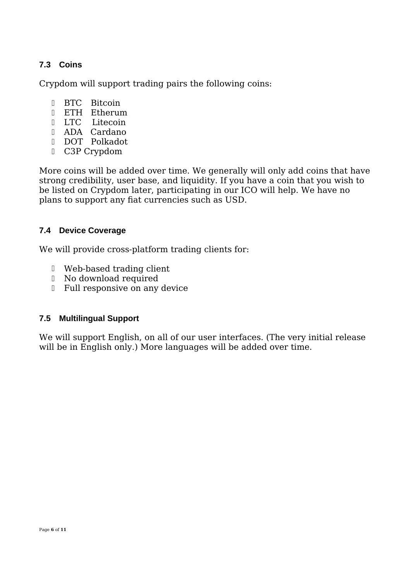### **7.3 Coins**

Crypdom will support trading pairs the following coins:

- **BTC** Bitcoin
- ETH Etherum
- **LTC** Litecoin
- ADA Cardano
- DOT Polkadot
- C3P Crypdom

More coins will be added over time. We generally will only add coins that have strong credibility, user base, and liquidity. If you have a coin that you wish to be listed on Crypdom later, participating in our ICO will help. We have no plans to support any fiat currencies such as USD.

#### **7.4 Device Coverage**

We will provide cross-platform trading clients for:

- Web-based trading client
- No download required
- Full responsive on any device

#### **7.5 Multilingual Support**

We will support English, on all of our user interfaces. (The very initial release will be in English only.) More languages will be added over time.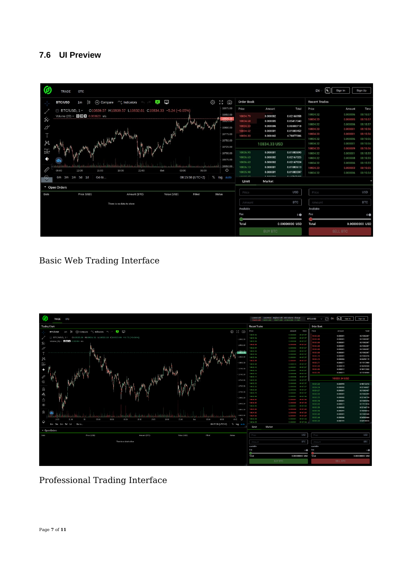### **7.6 UI Preview**

| O                    | <b>TRADE</b><br>OTC                                                                                        |                                              |                         |                                                  | EN                         | Sign In                 | Sign Up              |
|----------------------|------------------------------------------------------------------------------------------------------------|----------------------------------------------|-------------------------|--------------------------------------------------|----------------------------|-------------------------|----------------------|
|                      | $-00$<br>$\approx$<br>$(+)$ Compare $\gamma$ Indicators $\gamma$<br>Nф<br><b>BTC/USD</b><br>1 <sub>m</sub> | €<br>ි ම                                     | Order Book              |                                                  | <b>Recent Trades</b>       |                         |                      |
|                      | O10839.57 H10839.57 L10832.61 C10834.33 -5.24 (-0.05%)<br>$\exists$ BTC/USD, 1 $\triangleright$            | 10875.00<br>10850.00                         | Price                   | Amount                                           | Price<br>Total<br>10834.32 | Amount<br>0.000006      | Time<br>08:15:57     |
| ℅                    | Volume (20) $\sim$ 0 $\sigma$ X 0.003623 n/a                                                               | 10834.33<br><b>RUSSERUM</b>                  | 10834.79<br>10834.68    | 0.000002<br>0.02166958<br>0.000005<br>0.05417340 | 10834.33                   | 0.000005                | 08:15:57             |
| $\mathcal{D}^{\vee}$ |                                                                                                            | 10800.00                                     | 10834.53<br>10834.52    | 0.06500718<br>0.000006<br>0.000001<br>0.01083452 | 10834.32<br>10834.33       | 0.000006<br>0.000001    | 08:15:57<br>08:15:56 |
| T                    | which they will                                                                                            | 10775.00<br>10750.00                         | 10834.33                | 0.000442<br>4.78877386                           | 10834.33<br>10834.32       | 0.000001<br>0.000006    | 08:15:56<br>08:15:56 |
| K                    |                                                                                                            | 10725.00                                     |                         | 10834.33 USD                                     | 10834.32<br>10834.33       | 0.000001<br>0.000009    | 08:15:56<br>08:15:56 |
|                      |                                                                                                            | 10700.00<br>10675.00                         | 10836.95<br>10836.63    | 0.000001<br>0.01083695<br>0.000002<br>0.02167325 | 10834.32<br>10834.32       | 0.000001<br>0.000008    | 08:15:55<br>08:15:55 |
|                      |                                                                                                            | 10650.00                                     | 10836.62<br>10836.13    | 0.000002<br>0.02167324<br>0.000001<br>0.01083613 | 10834.32<br>10834.33       | 0.000006<br>0.000003    | 08:15:55<br>08:15:55 |
| E                    | 09:00<br>12:00<br>15:00<br>18:00<br>21:00<br>Oct<br>03:00<br>6m 3m 1m 5d 1d<br>Go to                       | ≎<br>06:00<br>08:15:58 (UTC+2)<br>% log auto | 10835.98<br>$n$ nnnn nn | 0.000001<br>0.01083597<br>A<br>A                 | 10834.32                   | 0.000006                | 08:15:54             |
|                      | Dpen Orders                                                                                                |                                              | Limit                   | Market                                           |                            |                         |                      |
| Date                 | Price (USD)<br>Value (USD)<br>Amount (BTC)                                                                 | Filled<br><b>Status</b>                      | Price                   | <b>USD</b>                                       | Price                      |                         | <b>USD</b>           |
|                      | There is no data to show                                                                                   |                                              | Amount                  | <b>BTC</b>                                       | Amount                     |                         | <b>BTC</b>           |
|                      |                                                                                                            |                                              | Available<br>Fee        |                                                  | Available<br>Fee           |                         |                      |
|                      |                                                                                                            |                                              |                         |                                                  | $0$ O                      |                         | $\mathbf{0}$         |
|                      |                                                                                                            |                                              |                         | Total<br>0.00000000 USD                          |                            | Total<br>0.00000000 USD |                      |
|                      |                                                                                                            |                                              |                         | <b>BUY BTC</b>                                   |                            | <b>SELL BTC</b>         |                      |

### Basic Web Trading Interface



# Professional Trading Interface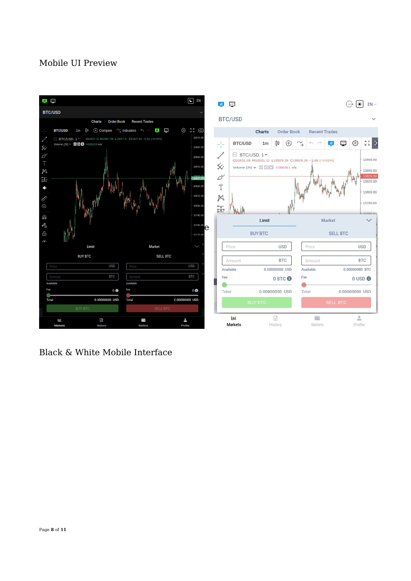### Mobile UI Preview



Black & White Mobile Interface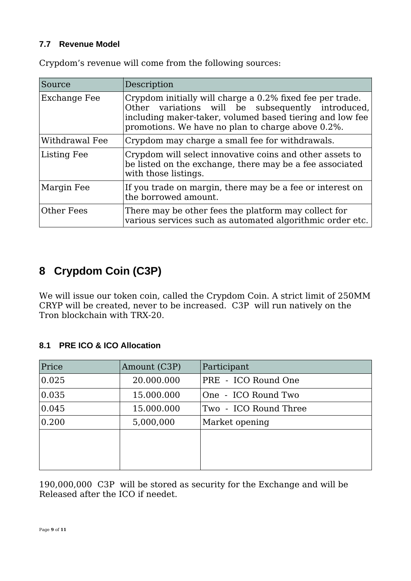#### **7.7 Revenue Model**

| Source         | Description                                                                                                                                                                                                                     |
|----------------|---------------------------------------------------------------------------------------------------------------------------------------------------------------------------------------------------------------------------------|
| Exchange Fee   | Crypdom initially will charge a 0.2% fixed fee per trade.<br>Other variations will be subsequently introduced,<br>including maker-taker, volumed based tiering and low fee<br>promotions. We have no plan to charge above 0.2%. |
| Withdrawal Fee | Crypdom may charge a small fee for withdrawals.                                                                                                                                                                                 |
| Listing Fee    | Crypdom will select innovative coins and other assets to<br>be listed on the exchange, there may be a fee associated<br>with those listings.                                                                                    |
| Margin Fee     | If you trade on margin, there may be a fee or interest on<br>the borrowed amount.                                                                                                                                               |
| Other Fees     | There may be other fees the platform may collect for<br>various services such as automated algorithmic order etc.                                                                                                               |

Crypdom's revenue will come from the following sources:

# **8 Crypdom Coin (C3P)**

We will issue our token coin, called the Crypdom Coin. A strict limit of 250MM CRYP will be created, never to be increased. C3P will run natively on the Tron blockchain with TRX-20.

#### **8.1 PRE ICO & ICO Allocation**

| Price | Amount (C3P) | Participant           |
|-------|--------------|-----------------------|
| 0.025 | 20.000.000   | PRE - ICO Round One   |
| 0.035 | 15.000.000   | One - ICO Round Two   |
| 0.045 | 15.000.000   | Two - ICO Round Three |
| 0.200 | 5,000,000    | Market opening        |
|       |              |                       |
|       |              |                       |
|       |              |                       |

190,000,000 C3P will be stored as security for the Exchange and will be Released after the ICO if needet.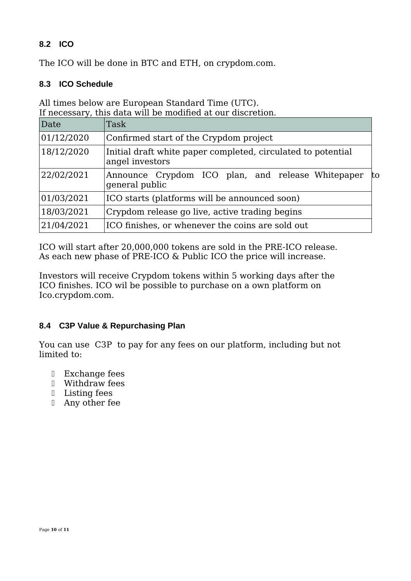### **8.2 ICO**

The ICO will be done in BTC and ETH, on crypdom.com.

#### **8.3 ICO Schedule**

All times below are European Standard Time (UTC). If necessary, this data will be modified at our discretion.

| Date       | Task                                                                            |    |  |
|------------|---------------------------------------------------------------------------------|----|--|
| 01/12/2020 | Confirmed start of the Crypdom project                                          |    |  |
| 18/12/2020 | Initial draft white paper completed, circulated to potential<br>angel investors |    |  |
| 22/02/2021 | Announce Crypdom ICO plan, and release Whitepaper<br>general public             | to |  |
| 01/03/2021 | ICO starts (platforms will be announced soon)                                   |    |  |
| 18/03/2021 | Crypdom release go live, active trading begins                                  |    |  |
| 21/04/2021 | ICO finishes, or whenever the coins are sold out                                |    |  |

ICO will start after 20,000,000 tokens are sold in the PRE-ICO release. As each new phase of PRE-ICO & Public ICO the price will increase.

Investors will receive Crypdom tokens within 5 working days after the ICO finishes. ICO wil be possible to purchase on a own platform on Ico.crypdom.com.

#### **8.4 C3P Value & Repurchasing Plan**

You can use C3P to pay for any fees on our platform, including but not limited to:

- Exchange fees
- Withdraw fees
- Listing fees
- Any other fee